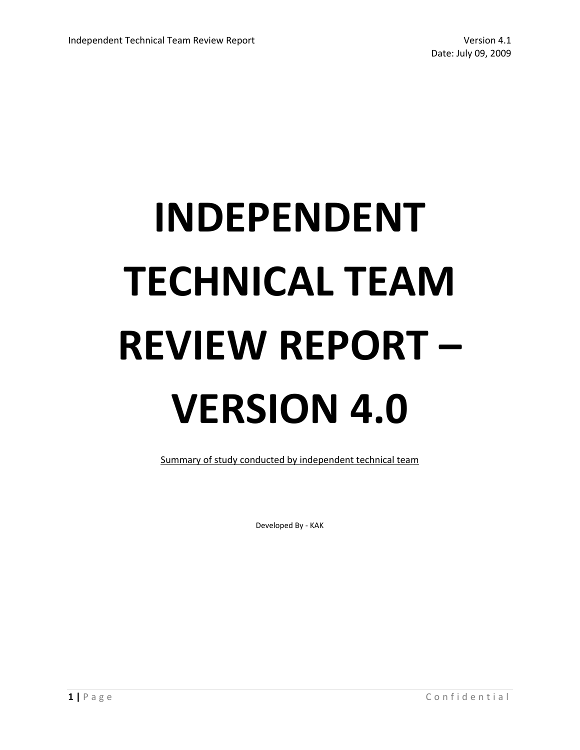# **INDEPENDENT TECHNICAL TEAM REVIEW REPORT – VERSION 4.0**

Summary of study conducted by independent technical team

Developed By ‐ KAK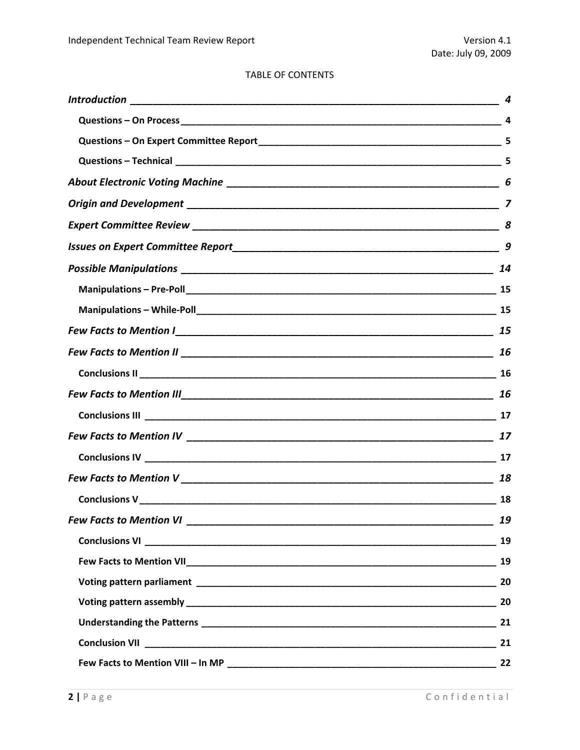#### TABLE OF CONTENTS

| 4  |
|----|
|    |
|    |
|    |
|    |
|    |
|    |
| 9  |
|    |
|    |
|    |
|    |
|    |
|    |
|    |
|    |
|    |
|    |
| 18 |
|    |
| 19 |
| 19 |
|    |
|    |
|    |
|    |
|    |
|    |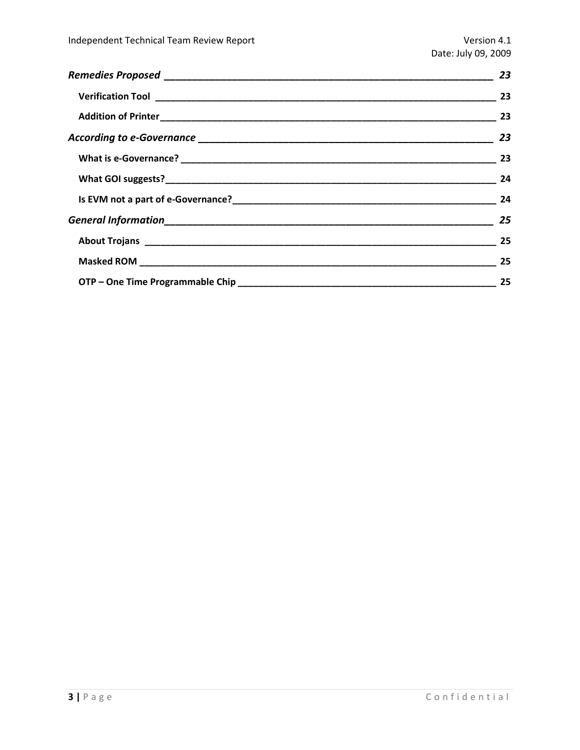|                         | 23 |
|-------------------------|----|
| Verification Tool 23 23 |    |
|                         |    |
|                         |    |
|                         |    |
|                         |    |
|                         |    |
|                         |    |
|                         |    |
|                         |    |
|                         |    |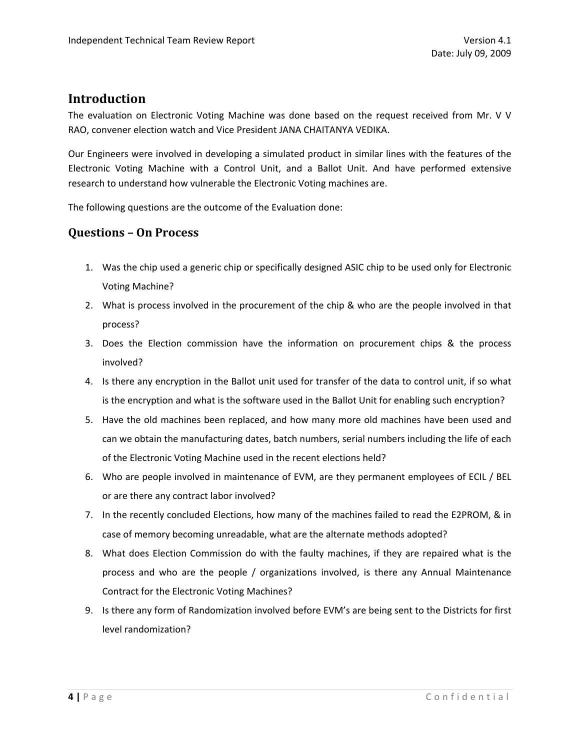# **Introduction**

The evaluation on Electronic Voting Machine was done based on the request received from Mr. V V RAO, convener election watch and Vice President JANA CHAITANYA VEDIKA.

Our Engineers were involved in developing a simulated product in similar lines with the features of the Electronic Voting Machine with a Control Unit, and a Ballot Unit. And have performed extensive research to understand how vulnerable the Electronic Voting machines are.

The following questions are the outcome of the Evaluation done:

## **Questions – On Process**

- 1. Was the chip used a generic chip or specifically designed ASIC chip to be used only for Electronic Voting Machine?
- 2. What is process involved in the procurement of the chip & who are the people involved in that process?
- 3. Does the Election commission have the information on procurement chips & the process involved?
- 4. Is there any encryption in the Ballot unit used for transfer of the data to control unit, if so what is the encryption and what is the software used in the Ballot Unit for enabling such encryption?
- 5. Have the old machines been replaced, and how many more old machines have been used and can we obtain the manufacturing dates, batch numbers, serial numbers including the life of each of the Electronic Voting Machine used in the recent elections held?
- 6. Who are people involved in maintenance of EVM, are they permanent employees of ECIL / BEL or are there any contract labor involved?
- 7. In the recently concluded Elections, how many of the machines failed to read the E2PROM, & in case of memory becoming unreadable, what are the alternate methods adopted?
- 8. What does Election Commission do with the faulty machines, if they are repaired what is the process and who are the people / organizations involved, is there any Annual Maintenance Contract for the Electronic Voting Machines?
- 9. Is there any form of Randomization involved before EVM's are being sent to the Districts for first level randomization?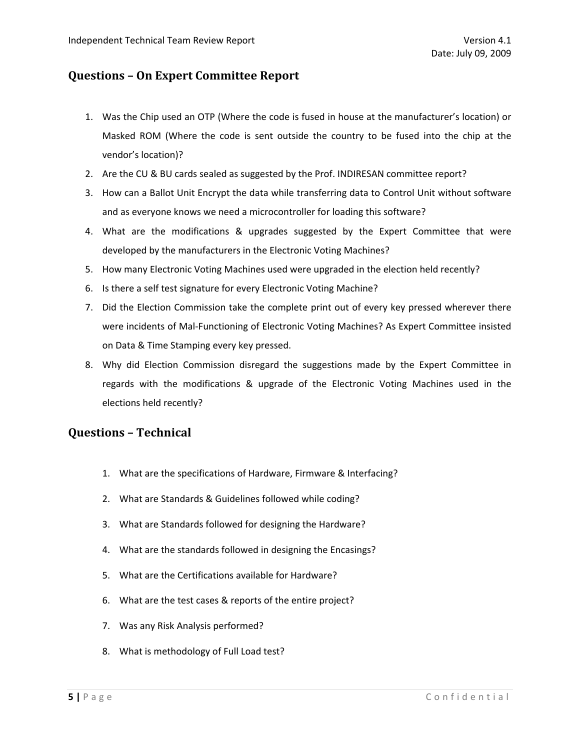## **Questions – On Expert Committee Report**

- 1. Was the Chip used an OTP (Where the code is fused in house at the manufacturer's location) or Masked ROM (Where the code is sent outside the country to be fused into the chip at the vendor's location)?
- 2. Are the CU & BU cards sealed as suggested by the Prof. INDIRESAN committee report?
- 3. How can a Ballot Unit Encrypt the data while transferring data to Control Unit without software and as everyone knows we need a microcontroller for loading this software?
- 4. What are the modifications & upgrades suggested by the Expert Committee that were developed by the manufacturers in the Electronic Voting Machines?
- 5. How many Electronic Voting Machines used were upgraded in the election held recently?
- 6. Is there a self test signature for every Electronic Voting Machine?
- 7. Did the Election Commission take the complete print out of every key pressed wherever there were incidents of Mal‐Functioning of Electronic Voting Machines? As Expert Committee insisted on Data & Time Stamping every key pressed.
- 8. Why did Election Commission disregard the suggestions made by the Expert Committee in regards with the modifications & upgrade of the Electronic Voting Machines used in the elections held recently?

## **Questions – Technical**

- 1. What are the specifications of Hardware, Firmware & Interfacing?
- 2. What are Standards & Guidelines followed while coding?
- 3. What are Standards followed for designing the Hardware?
- 4. What are the standards followed in designing the Encasings?
- 5. What are the Certifications available for Hardware?
- 6. What are the test cases & reports of the entire project?
- 7. Was any Risk Analysis performed?
- 8. What is methodology of Full Load test?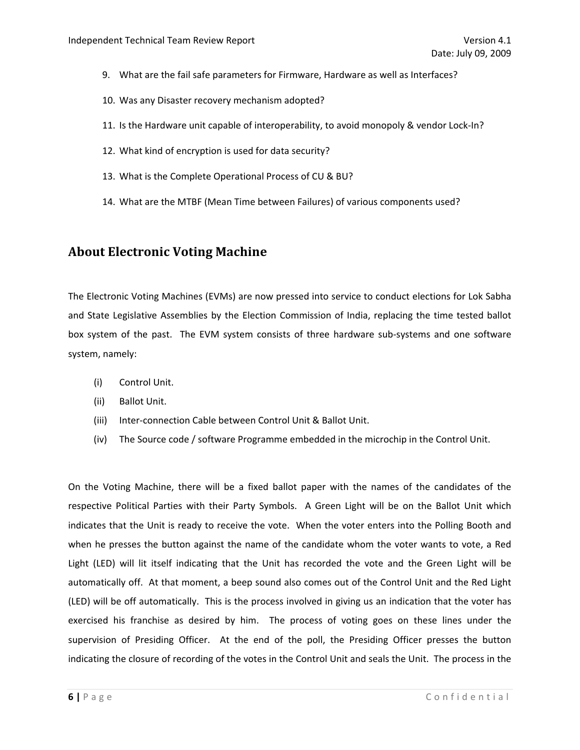- 9. What are the fail safe parameters for Firmware, Hardware as well as Interfaces?
- 10. Was any Disaster recovery mechanism adopted?
- 11. Is the Hardware unit capable of interoperability, to avoid monopoly & vendor Lock‐In?
- 12. What kind of encryption is used for data security?
- 13. What is the Complete Operational Process of CU & BU?
- 14. What are the MTBF (Mean Time between Failures) of various components used?

# **About Electronic Voting Machine**

The Electronic Voting Machines (EVMs) are now pressed into service to conduct elections for Lok Sabha and State Legislative Assemblies by the Election Commission of India, replacing the time tested ballot box system of the past. The EVM system consists of three hardware sub-systems and one software system, namely:

- (i) Control Unit.
- (ii) Ballot Unit.
- (iii) Inter‐connection Cable between Control Unit & Ballot Unit.
- (iv) The Source code / software Programme embedded in the microchip in the Control Unit.

On the Voting Machine, there will be a fixed ballot paper with the names of the candidates of the respective Political Parties with their Party Symbols. A Green Light will be on the Ballot Unit which indicates that the Unit is ready to receive the vote. When the voter enters into the Polling Booth and when he presses the button against the name of the candidate whom the voter wants to vote, a Red Light (LED) will lit itself indicating that the Unit has recorded the vote and the Green Light will be automatically off. At that moment, a beep sound also comes out of the Control Unit and the Red Light (LED) will be off automatically. This is the process involved in giving us an indication that the voter has exercised his franchise as desired by him. The process of voting goes on these lines under the supervision of Presiding Officer. At the end of the poll, the Presiding Officer presses the button indicating the closure of recording of the votes in the Control Unit and seals the Unit. The process in the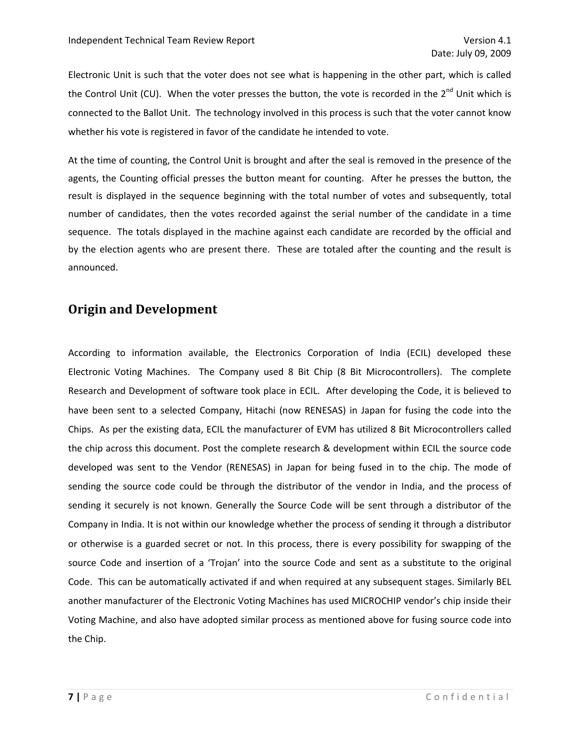Electronic Unit is such that the voter does not see what is happening in the other part, which is called the Control Unit (CU). When the voter presses the button, the vote is recorded in the  $2^{nd}$  Unit which is connected to the Ballot Unit. The technology involved in this process is such that the voter cannot know whether his vote is registered in favor of the candidate he intended to vote.

At the time of counting, the Control Unit is brought and after the seal is removed in the presence of the agents, the Counting official presses the button meant for counting. After he presses the button, the result is displayed in the sequence beginning with the total number of votes and subsequently, total number of candidates, then the votes recorded against the serial number of the candidate in a time sequence. The totals displayed in the machine against each candidate are recorded by the official and by the election agents who are present there. These are totaled after the counting and the result is announced.

# **Origin and Development**

According to information available, the Electronics Corporation of India (ECIL) developed these Electronic Voting Machines. The Company used 8 Bit Chip (8 Bit Microcontrollers). The complete Research and Development of software took place in ECIL. After developing the Code, it is believed to have been sent to a selected Company, Hitachi (now RENESAS) in Japan for fusing the code into the Chips. As per the existing data, ECIL the manufacturer of EVM has utilized 8 Bit Microcontrollers called the chip across this document. Post the complete research & development within ECIL the source code developed was sent to the Vendor (RENESAS) in Japan for being fused in to the chip. The mode of sending the source code could be through the distributor of the vendor in India, and the process of sending it securely is not known. Generally the Source Code will be sent through a distributor of the Company in India. It is not within our knowledge whether the process of sending it through a distributor or otherwise is a guarded secret or not. In this process, there is every possibility for swapping of the source Code and insertion of a 'Trojan' into the source Code and sent as a substitute to the original Code. This can be automatically activated if and when required at any subsequent stages. Similarly BEL another manufacturer of the Electronic Voting Machines has used MICROCHIP vendor's chip inside their Voting Machine, and also have adopted similar process as mentioned above for fusing source code into the Chip.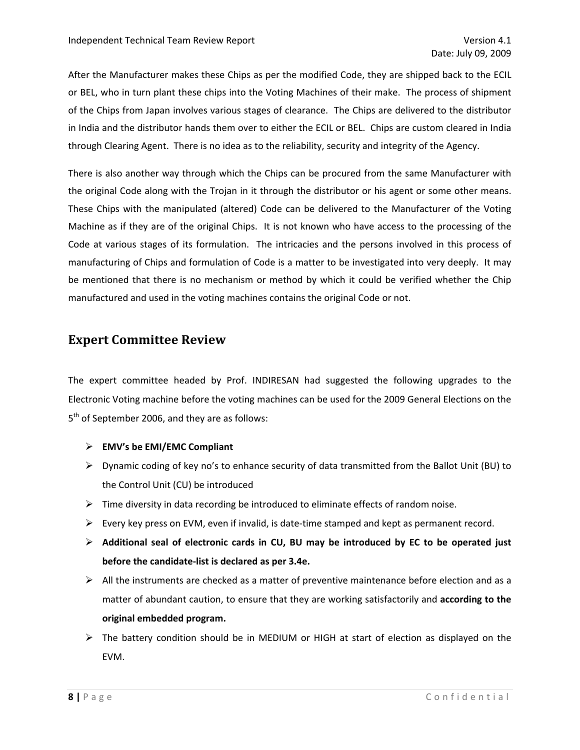After the Manufacturer makes these Chips as per the modified Code, they are shipped back to the ECIL or BEL, who in turn plant these chips into the Voting Machines of their make. The process of shipment of the Chips from Japan involves various stages of clearance. The Chips are delivered to the distributor in India and the distributor hands them over to either the ECIL or BEL. Chips are custom cleared in India through Clearing Agent. There is no idea as to the reliability, security and integrity of the Agency.

There is also another way through which the Chips can be procured from the same Manufacturer with the original Code along with the Trojan in it through the distributor or his agent or some other means. These Chips with the manipulated (altered) Code can be delivered to the Manufacturer of the Voting Machine as if they are of the original Chips. It is not known who have access to the processing of the Code at various stages of its formulation. The intricacies and the persons involved in this process of manufacturing of Chips and formulation of Code is a matter to be investigated into very deeply. It may be mentioned that there is no mechanism or method by which it could be verified whether the Chip manufactured and used in the voting machines contains the original Code or not.

# **Expert Committee Review**

The expert committee headed by Prof. INDIRESAN had suggested the following upgrades to the Electronic Voting machine before the voting machines can be used for the 2009 General Elections on the 5<sup>th</sup> of September 2006, and they are as follows:

#### ¾ **EMV's be EMI/EMC Compliant**

- $\triangleright$  Dynamic coding of key no's to enhance security of data transmitted from the Ballot Unit (BU) to the Control Unit (CU) be introduced
- $\triangleright$  Time diversity in data recording be introduced to eliminate effects of random noise.
- $▶$  Every key press on EVM, even if invalid, is date-time stamped and kept as permanent record.
- ¾ **Additional seal of electronic cards in CU, BU may be introduced by EC to be operated just before the candidate‐list is declared as per 3.4e.**
- $\triangleright$  All the instruments are checked as a matter of preventive maintenance before election and as a matter of abundant caution, to ensure that they are working satisfactorily and **according to the original embedded program.**
- $\triangleright$  The battery condition should be in MEDIUM or HIGH at start of election as displayed on the EVM.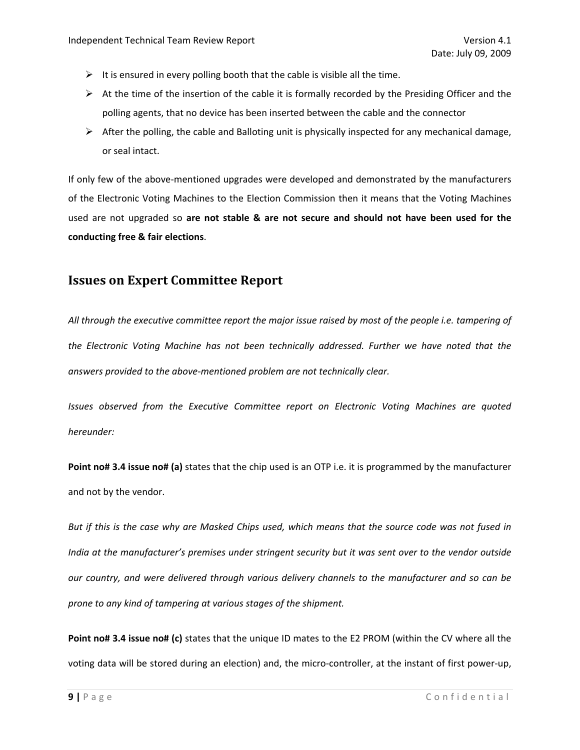- $\triangleright$  It is ensured in every polling booth that the cable is visible all the time.
- $\triangleright$  At the time of the insertion of the cable it is formally recorded by the Presiding Officer and the polling agents, that no device has been inserted between the cable and the connector
- $\triangleright$  After the polling, the cable and Balloting unit is physically inspected for any mechanical damage, or seal intact.

If only few of the above‐mentioned upgrades were developed and demonstrated by the manufacturers of the Electronic Voting Machines to the Election Commission then it means that the Voting Machines used are not upgraded so **are not stable & are not secure and should not have been used for the conducting free & fair elections**.

# **Issues on Expert Committee Report**

All through the executive committee report the major issue raised by most of the people i.e. tampering of *the Electronic Voting Machine has not been technically addressed. Further we have noted that the answers provided to the above‐mentioned problem are not technically clear.*

*Issues observed from the Executive Committee report on Electronic Voting Machines are quoted hereunder:*

**Point no# 3.4 issue no# (a)** states that the chip used is an OTP i.e. it is programmed by the manufacturer and not by the vendor.

But if this is the case why are Masked Chips used, which means that the source code was not fused in *India at the manufacturer's premises under stringent security but it was sent over to the vendor outside our country, and were delivered through various delivery channels to the manufacturer and so can be prone to any kind of tampering at various stages of the shipment.*

**Point no# 3.4 issue no# (c)** states that the unique ID mates to the E2 PROM (within the CV where all the voting data will be stored during an election) and, the micro-controller, at the instant of first power-up,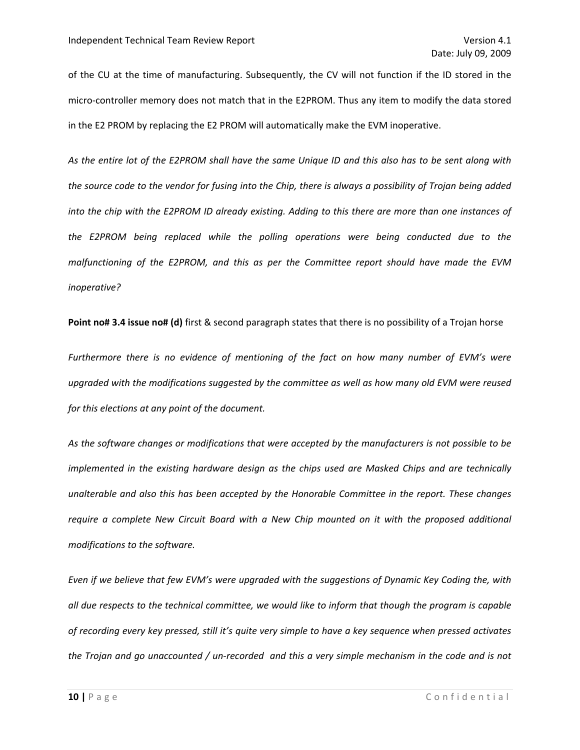of the CU at the time of manufacturing. Subsequently, the CV will not function if the ID stored in the micro‐controller memory does not match that in the E2PROM. Thus any item to modify the data stored in the E2 PROM by replacing the E2 PROM will automatically make the EVM inoperative.

As the entire lot of the E2PROM shall have the same Unique ID and this also has to be sent along with the source code to the vendor for fusing into the Chip, there is always a possibility of Trojan being added into the chip with the E2PROM ID already existing. Adding to this there are more than one instances of *the E2PROM being replaced while the polling operations were being conducted due to the malfunctioning of the E2PROM, and this as per the Committee report should have made the EVM inoperative?*

**Point no# 3.4 issue no# (d)** first & second paragraph states that there is no possibility of a Trojan horse

*Furthermore there is no evidence of mentioning of the fact on how many number of EVM's were upgraded with the modifications suggested by the committee as well as how many old EVM were reused for this elections at any point of the document.*

*As the software changes or modifications that were accepted by the manufacturers is not possible to be implemented in the existing hardware design as the chips used are Masked Chips and are technically unalterable and also this has been accepted by the Honorable Committee in the report. These changes require a complete New Circuit Board with a New Chip mounted on it with the proposed additional modifications to the software.*

Even if we believe that few EVM's were upgraded with the suggestions of Dynamic Key Coding the, with all due respects to the technical committee, we would like to inform that though the program is capable of recording every key pressed, still it's quite very simple to have a key sequence when pressed activates the Trojan and go unaccounted / un-recorded and this a very simple mechanism in the code and is not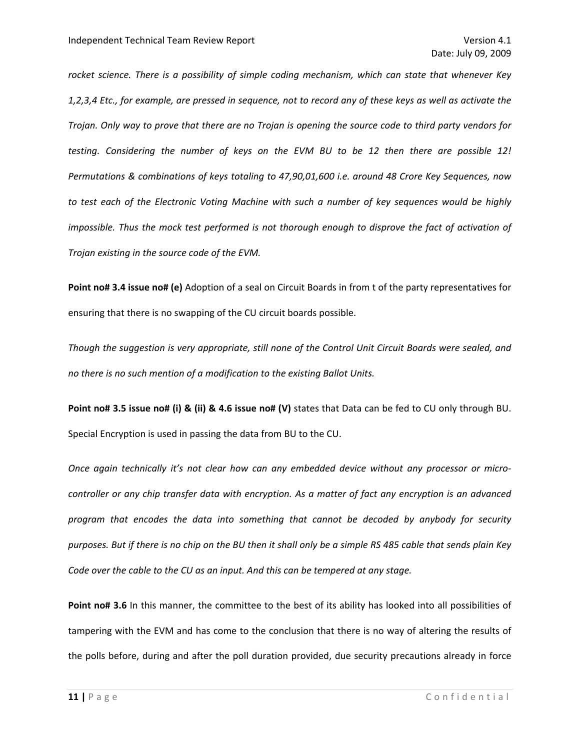*rocket science. There is a possibility of simple coding mechanism, which can state that whenever Key* 1,2,3,4 Etc., for example, are pressed in sequence, not to record any of these keys as well as activate the Trojan. Only way to prove that there are no Trojan is opening the source code to third party vendors for *testing. Considering the number of keys on the EVM BU to be 12 then there are possible 12! Permutations & combinations of keys totaling to 47,90,01,600 i.e. around 48 Crore Key Sequences, now to test each of the Electronic Voting Machine with such a number of key sequences would be highly impossible. Thus the mock test performed is not thorough enough to disprove the fact of activation of Trojan existing in the source code of the EVM.*

**Point no# 3.4 issue no# (e)** Adoption of a seal on Circuit Boards in from t of the party representatives for ensuring that there is no swapping of the CU circuit boards possible.

*Though the suggestion is very appropriate, still none of the Control Unit Circuit Boards were sealed, and no there is no such mention of a modification to the existing Ballot Units.*

**Point no# 3.5 issue no# (i) & (ii) & 4.6 issue no# (V)** states that Data can be fed to CU only through BU. Special Encryption is used in passing the data from BU to the CU.

*Once again technically it's not clear how can any embedded device without any processor or micro‐* controller or any chip transfer data with encryption. As a matter of fact any encryption is an advanced *program that encodes the data into something that cannot be decoded by anybody for security* purposes. But if there is no chip on the BU then it shall only be a simple RS 485 cable that sends plain Key *Code over the cable to the CU as an input. And this can be tempered at any stage.*

**Point no# 3.6** In this manner, the committee to the best of its ability has looked into all possibilities of tampering with the EVM and has come to the conclusion that there is no way of altering the results of the polls before, during and after the poll duration provided, due security precautions already in force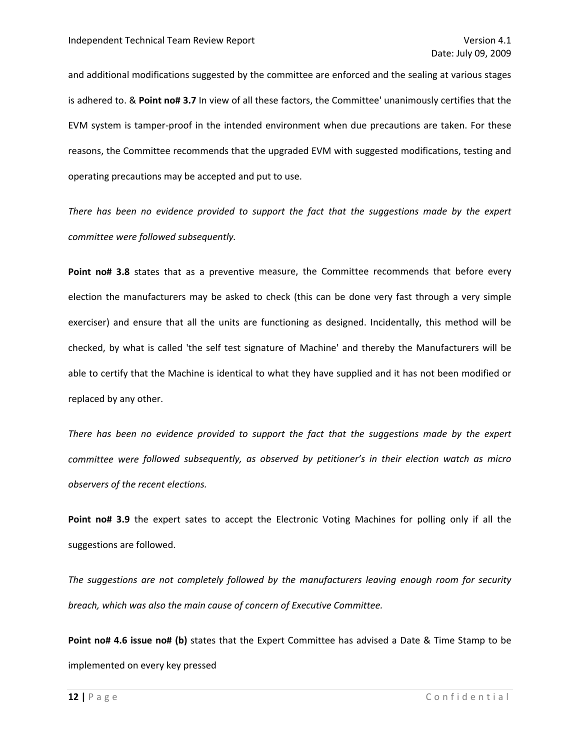and additional modifications suggested by the committee are enforced and the sealing at various stages is adhered to. & **Point no# 3.7** In view of all these factors, the Committee' unanimously certifies that the EVM system is tamper‐proof in the intended environment when due precautions are taken. For these reasons, the Committee recommends that the upgraded EVM with suggested modifications, testing and operating precautions may be accepted and put to use.

*There has been no evidence provided to support the fact that the suggestions made by the expert committee were followed subsequently.*

**Point no# 3.8** states that as a preventive measure, the Committee recommends that before every election the manufacturers may be asked to check (this can be done very fast through a very simple exerciser) and ensure that all the units are functioning as designed. Incidentally, this method will be checked, by what is called 'the self test signature of Machine' and thereby the Manufacturers will be able to certify that the Machine is identical to what they have supplied and it has not been modified or replaced by any other.

*There has been no evidence provided to support the fact that the suggestions made by the expert committee were followed subsequently, as observed by petitioner's in their election watch as micro observers of the recent elections.*

**Point no# 3.9** the expert sates to accept the Electronic Voting Machines for polling only if all the suggestions are followed.

*The suggestions are not completely followed by the manufacturers leaving enough room for security breach, which was also the main cause of concern of Executive Committee.*

**Point no# 4.6 issue no# (b)** states that the Expert Committee has advised a Date & Time Stamp to be implemented on every key pressed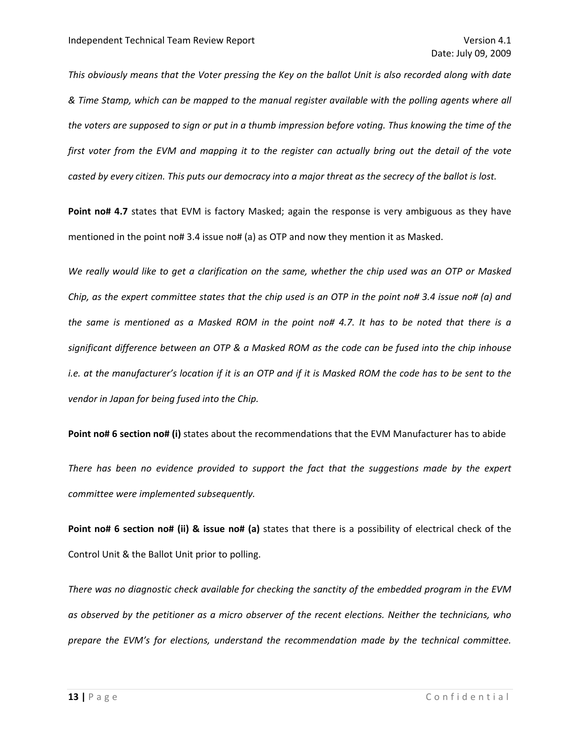This obviously means that the Voter pressing the Key on the ballot Unit is also recorded along with date & Time Stamp, which can be mapped to the manual register available with the polling agents where all the voters are supposed to sign or put in a thumb impression before voting. Thus knowing the time of the first voter from the EVM and mapping it to the register can actually bring out the detail of the vote casted by every citizen. This puts our democracy into a major threat as the secrecy of the ballot is lost.

**Point no# 4.7** states that EVM is factory Masked; again the response is very ambiguous as they have mentioned in the point no# 3.4 issue no# (a) as OTP and now they mention it as Masked.

We really would like to get a clarification on the same, whether the chip used was an OTP or Masked Chip, as the expert committee states that the chip used is an OTP in the point no# 3.4 issue no# (a) and the same is mentioned as a Masked ROM in the point no# 4.7. It has to be noted that there is a significant difference between an OTP & a Masked ROM as the code can be fused into the chip inhouse i.e. at the manufacturer's location if it is an OTP and if it is Masked ROM the code has to be sent to the *vendor in Japan for being fused into the Chip.*

**Point no# 6 section no# (i)** states about the recommendations that the EVM Manufacturer has to abide

*There has been no evidence provided to support the fact that the suggestions made by the expert committee were implemented subsequently.*

**Point no# 6 section no# (ii) & issue no# (a)** states that there is a possibility of electrical check of the Control Unit & the Ballot Unit prior to polling.

*There was no diagnostic check available for checking the sanctity of the embedded program in the EVM as observed by the petitioner as a micro observer of the recent elections. Neither the technicians, who prepare the EVM's for elections, understand the recommendation made by the technical committee.*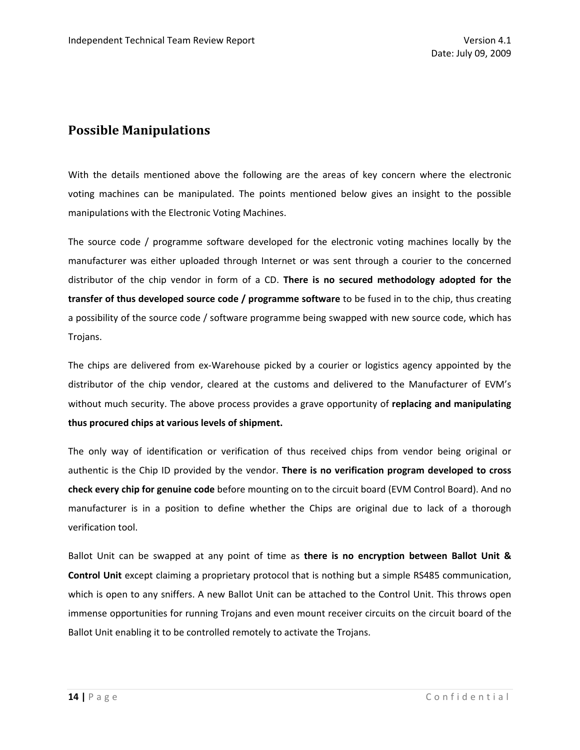# **Possible Manipulations**

With the details mentioned above the following are the areas of key concern where the electronic voting machines can be manipulated. The points mentioned below gives an insight to the possible manipulations with the Electronic Voting Machines.

The source code / programme software developed for the electronic voting machines locally by the manufacturer was either uploaded through Internet or was sent through a courier to the concerned distributor of the chip vendor in form of a CD. **There is no secured methodology adopted for the transfer of thus developed source code / programme software** to be fused in to the chip, thus creating a possibility of the source code / software programme being swapped with new source code, which has Trojans.

The chips are delivered from ex‐Warehouse picked by a courier or logistics agency appointed by the distributor of the chip vendor, cleared at the customs and delivered to the Manufacturer of EVM's without much security. The above process provides a grave opportunity of **replacing and manipulating thus procured chips at various levels of shipment.**

The only way of identification or verification of thus received chips from vendor being original or authentic is the Chip ID provided by the vendor. **There is no verification program developed to cross check every chip for genuine code** before mounting on to the circuit board (EVM Control Board). And no manufacturer is in a position to define whether the Chips are original due to lack of a thorough verification tool.

Ballot Unit can be swapped at any point of time as **there is no encryption between Ballot Unit & Control Unit** except claiming a proprietary protocol that is nothing but a simple RS485 communication, which is open to any sniffers. A new Ballot Unit can be attached to the Control Unit. This throws open immense opportunities for running Trojans and even mount receiver circuits on the circuit board of the Ballot Unit enabling it to be controlled remotely to activate the Trojans.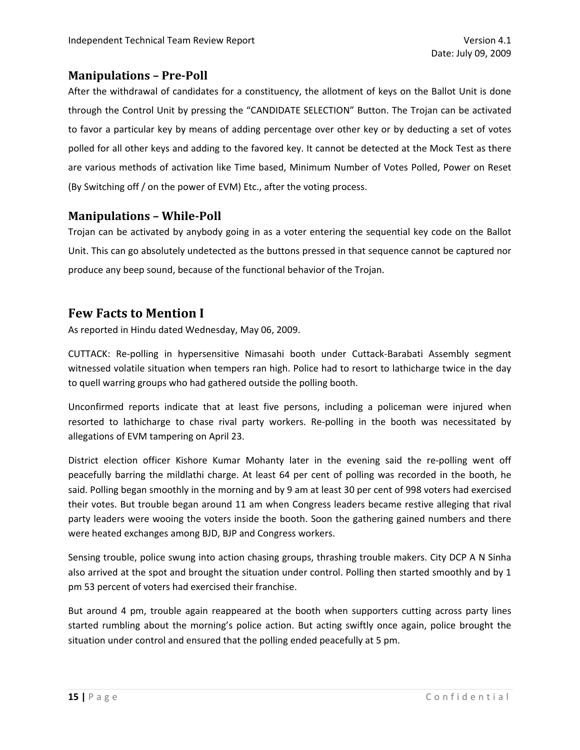## **Manipulations – PrePoll**

After the withdrawal of candidates for a constituency, the allotment of keys on the Ballot Unit is done through the Control Unit by pressing the "CANDIDATE SELECTION" Button. The Trojan can be activated to favor a particular key by means of adding percentage over other key or by deducting a set of votes polled for all other keys and adding to the favored key. It cannot be detected at the Mock Test as there are various methods of activation like Time based, Minimum Number of Votes Polled, Power on Reset (By Switching off / on the power of EVM) Etc., after the voting process.

## **Manipulations – WhilePoll**

Trojan can be activated by anybody going in as a voter entering the sequential key code on the Ballot Unit. This can go absolutely undetected as the buttons pressed in that sequence cannot be captured nor produce any beep sound, because of the functional behavior of the Trojan.

# **Few Facts to Mention I**

As reported in Hindu dated Wednesday, May 06, 2009.

CUTTACK: Re‐polling in hypersensitive Nimasahi booth under Cuttack‐Barabati Assembly segment witnessed volatile situation when tempers ran high. Police had to resort to lathicharge twice in the day to quell warring groups who had gathered outside the polling booth.

Unconfirmed reports indicate that at least five persons, including a policeman were injured when resorted to lathicharge to chase rival party workers. Re-polling in the booth was necessitated by allegations of EVM tampering on April 23.

District election officer Kishore Kumar Mohanty later in the evening said the re-polling went off peacefully barring the mildlathi charge. At least 64 per cent of polling was recorded in the booth, he said. Polling began smoothly in the morning and by 9 am at least 30 per cent of 998 voters had exercised their votes. But trouble began around 11 am when Congress leaders became restive alleging that rival party leaders were wooing the voters inside the booth. Soon the gathering gained numbers and there were heated exchanges among BJD, BJP and Congress workers.

Sensing trouble, police swung into action chasing groups, thrashing trouble makers. City DCP A N Sinha also arrived at the spot and brought the situation under control. Polling then started smoothly and by 1 pm 53 percent of voters had exercised their franchise.

But around 4 pm, trouble again reappeared at the booth when supporters cutting across party lines started rumbling about the morning's police action. But acting swiftly once again, police brought the situation under control and ensured that the polling ended peacefully at 5 pm.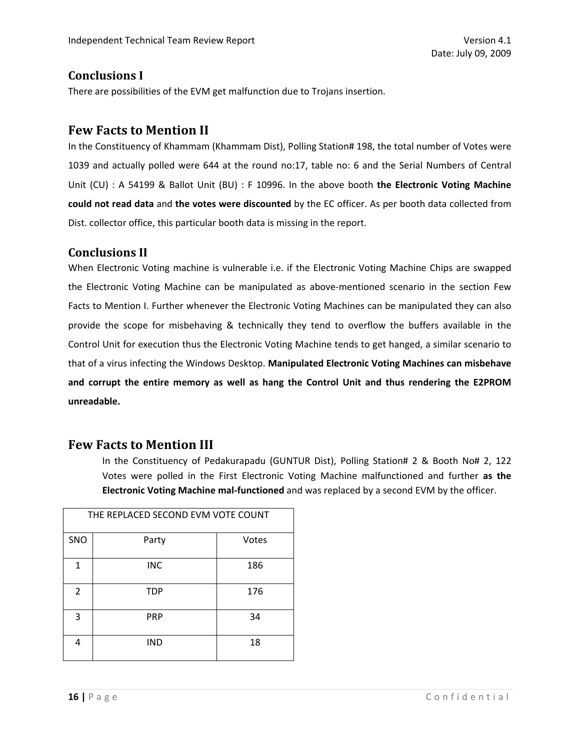## **Conclusions I**

There are possibilities of the EVM get malfunction due to Trojans insertion.

## **Few Facts to Mention II**

In the Constituency of Khammam (Khammam Dist), Polling Station# 198, the total number of Votes were 1039 and actually polled were 644 at the round no:17, table no: 6 and the Serial Numbers of Central Unit (CU) : A 54199 & Ballot Unit (BU) : F 10996. In the above booth **the Electronic Voting Machine could not read data** and **the votes were discounted** by the EC officer. As per booth data collected from Dist. collector office, this particular booth data is missing in the report.

## **Conclusions II**

When Electronic Voting machine is vulnerable i.e. if the Electronic Voting Machine Chips are swapped the Electronic Voting Machine can be manipulated as above-mentioned scenario in the section Few Facts to Mention I. Further whenever the Electronic Voting Machines can be manipulated they can also provide the scope for misbehaving & technically they tend to overflow the buffers available in the Control Unit for execution thus the Electronic Voting Machine tends to get hanged, a similar scenario to that of a virus infecting the Windows Desktop. **Manipulated Electronic Voting Machines can misbehave and corrupt the entire memory as well as hang the Control Unit and thus rendering the E2PROM unreadable.**

# **Few Facts to Mention III**

In the Constituency of Pedakurapadu (GUNTUR Dist), Polling Station# 2 & Booth No# 2, 122 Votes were polled in the First Electronic Voting Machine malfunctioned and further **as the Electronic Voting Machine mal‐functioned** and was replaced by a second EVM by the officer.

| THE REPLACED SECOND EVM VOTE COUNT |            |       |  |  |  |  |  |  |
|------------------------------------|------------|-------|--|--|--|--|--|--|
| SNO                                | Party      | Votes |  |  |  |  |  |  |
| 1                                  | <b>INC</b> | 186   |  |  |  |  |  |  |
| $\overline{2}$                     | <b>TDP</b> | 176   |  |  |  |  |  |  |
| 3                                  | <b>PRP</b> | 34    |  |  |  |  |  |  |
| 4                                  | <b>IND</b> | 18    |  |  |  |  |  |  |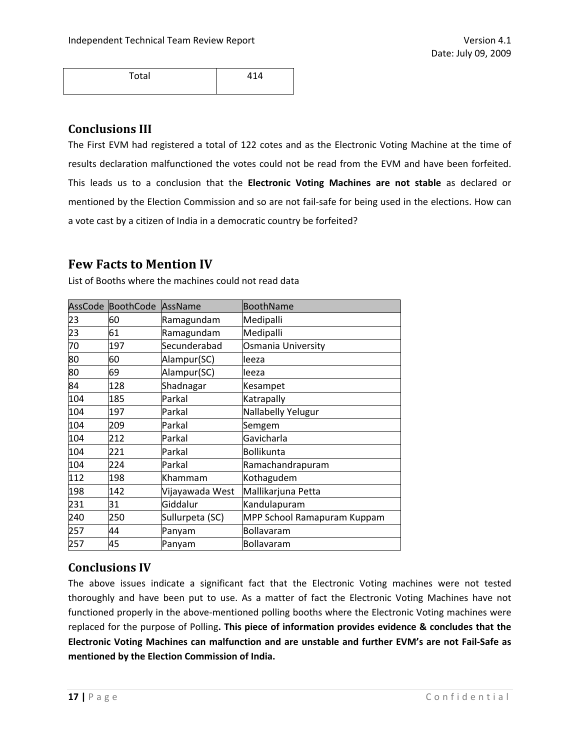| Total | 111<br>$\cdot$ $ \cdot$ |
|-------|-------------------------|
|       |                         |

# **Conclusions III**

The First EVM had registered a total of 122 cotes and as the Electronic Voting Machine at the time of results declaration malfunctioned the votes could not be read from the EVM and have been forfeited. This leads us to a conclusion that the **Electronic Voting Machines are not stable** as declared or mentioned by the Election Commission and so are not fail‐safe for being used in the elections. How can a vote cast by a citizen of India in a democratic country be forfeited?

# **Few Facts to Mention IV**

| AssCode | <b>BoothCode</b> | AssName         | BoothName                   |
|---------|------------------|-----------------|-----------------------------|
| 23      | 60               | Ramagundam      | Medipalli                   |
| 23      | 61               | Ramagundam      | Medipalli                   |
| 70      | 197              | Secunderabad    | Osmania University          |
| 80      | 60               | Alampur(SC)     | leeza                       |
| 80      | 69               | Alampur(SC)     | leeza                       |
| 84      | 128              | Shadnagar       | Kesampet                    |
| 104     | 185              | Parkal          | Katrapally                  |
| 104     | 197              | Parkal          | Nallabelly Yelugur          |
| 104     | 209              | Parkal          | Semgem                      |
| 104     | 212              | Parkal          | Gavicharla                  |
| 104     | 221              | Parkal          | <b>Bollikunta</b>           |
| 104     | 224              | Parkal          | Ramachandrapuram            |
| 112     | 198              | Khammam         | Kothagudem                  |
| 198     | 142              | Vijayawada West | Mallikarjuna Petta          |
| 231     | 31               | Giddalur        | Kandulapuram                |
| 240     | 250              | Sullurpeta (SC) | MPP School Ramapuram Kuppam |
| 257     | 44               | Panyam          | Bollavaram                  |
| 257     | 45               | Panyam          | Bollavaram                  |

List of Booths where the machines could not read data

# **Conclusions IV**

The above issues indicate a significant fact that the Electronic Voting machines were not tested thoroughly and have been put to use. As a matter of fact the Electronic Voting Machines have not functioned properly in the above-mentioned polling booths where the Electronic Voting machines were replaced for the purpose of Polling**. This piece of information provides evidence & concludes that the Electronic Voting Machines can malfunction and are unstable and further EVM's are not Fail‐Safe as mentioned by the Election Commission of India.**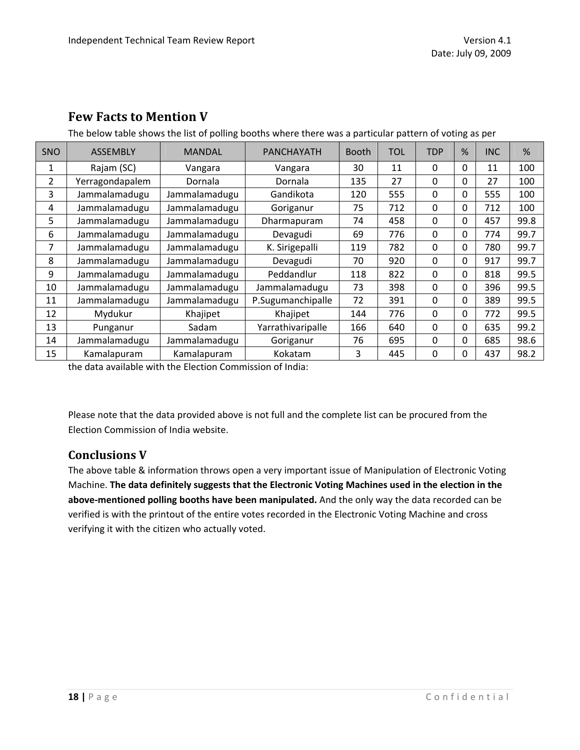# **Few Facts to Mention V**

The below table shows the list of polling booths where there was a particular pattern of voting as per

| <b>SNO</b>     | <b>ASSEMBLY</b> | <b>MANDAL</b> | <b>PANCHAYATH</b> | <b>Booth</b> | <b>TOL</b> | <b>TDP</b> | %        | <b>INC</b> | %    |
|----------------|-----------------|---------------|-------------------|--------------|------------|------------|----------|------------|------|
| 1              | Rajam (SC)      | Vangara       | Vangara           | 30           | 11         | $\Omega$   | 0        | 11         | 100  |
| $\overline{2}$ | Yerragondapalem | Dornala       | Dornala           | 135          | 27         | 0          | 0        | 27         | 100  |
| 3              | Jammalamadugu   | Jammalamadugu | Gandikota         | 120          | 555        | $\Omega$   | 0        | 555        | 100  |
| 4              | Jammalamadugu   | Jammalamadugu | Goriganur         | 75           | 712        | $\Omega$   | 0        | 712        | 100  |
| 5              | Jammalamadugu   | Jammalamadugu | Dharmapuram       | 74           | 458        | $\Omega$   | 0        | 457        | 99.8 |
| 6              | Jammalamadugu   | Jammalamadugu | Devagudi          | 69           | 776        | $\Omega$   | 0        | 774        | 99.7 |
| 7              | Jammalamadugu   | Jammalamadugu | K. Sirigepalli    | 119          | 782        | $\Omega$   | 0        | 780        | 99.7 |
| 8              | Jammalamadugu   | Jammalamadugu | Devagudi          | 70           | 920        | $\Omega$   | 0        | 917        | 99.7 |
| 9              | Jammalamadugu   | Jammalamadugu | Peddandlur        | 118          | 822        | $\Omega$   | 0        | 818        | 99.5 |
| 10             | Jammalamadugu   | Jammalamadugu | Jammalamadugu     | 73           | 398        | $\Omega$   | 0        | 396        | 99.5 |
| 11             | Jammalamadugu   | Jammalamadugu | P.Sugumanchipalle | 72           | 391        | $\Omega$   | 0        | 389        | 99.5 |
| 12             | Mydukur         | Khajipet      | Khajipet          | 144          | 776        | $\Omega$   | $\Omega$ | 772        | 99.5 |
| 13             | Punganur        | Sadam         | Yarrathivaripalle | 166          | 640        | $\Omega$   | 0        | 635        | 99.2 |
| 14             | Jammalamadugu   | Jammalamadugu | Goriganur         | 76           | 695        | $\Omega$   | 0        | 685        | 98.6 |
| 15             | Kamalapuram     | Kamalapuram   | Kokatam           | 3            | 445        | $\Omega$   | 0        | 437        | 98.2 |

the data available with the Election Commission of India:

Please note that the data provided above is not full and the complete list can be procured from the Election Commission of India website.

# **Conclusions V**

The above table & information throws open a very important issue of Manipulation of Electronic Voting Machine. **The data definitely suggests that the Electronic Voting Machines used in the election in the above‐mentioned polling booths have been manipulated.** And the only way the data recorded can be verified is with the printout of the entire votes recorded in the Electronic Voting Machine and cross verifying it with the citizen who actually voted.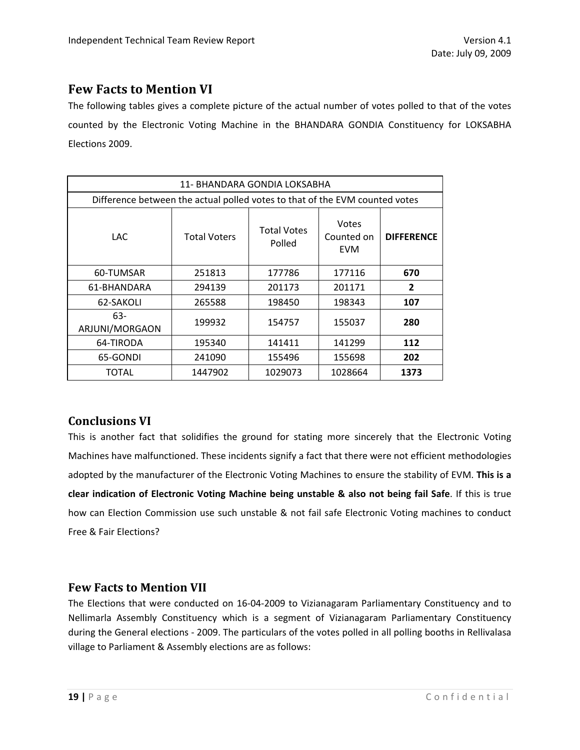# **Few Facts to Mention VI**

The following tables gives a complete picture of the actual number of votes polled to that of the votes counted by the Electronic Voting Machine in the BHANDARA GONDIA Constituency for LOKSABHA Elections 2009.

| 11- BHANDARA GONDIA LOKSABHA                                                |                                                                                          |         |         |                |  |  |  |  |  |  |
|-----------------------------------------------------------------------------|------------------------------------------------------------------------------------------|---------|---------|----------------|--|--|--|--|--|--|
| Difference between the actual polled votes to that of the EVM counted votes |                                                                                          |         |         |                |  |  |  |  |  |  |
| <b>LAC</b>                                                                  | Votes<br><b>Total Votes</b><br><b>Total Voters</b><br>Counted on<br>Polled<br><b>EVM</b> |         |         |                |  |  |  |  |  |  |
| 60-TUMSAR                                                                   | 251813                                                                                   | 177786  |         | 670            |  |  |  |  |  |  |
| 61-BHANDARA                                                                 | 294139                                                                                   | 201173  | 201171  | $\overline{2}$ |  |  |  |  |  |  |
| 62-SAKOLI                                                                   | 265588                                                                                   | 198343  | 107     |                |  |  |  |  |  |  |
| $63-$<br>ARJUNI/MORGAON                                                     | 199932                                                                                   | 154757  | 155037  | 280            |  |  |  |  |  |  |
| 64-TIRODA                                                                   | 195340                                                                                   | 141299  | 112     |                |  |  |  |  |  |  |
| 65-GONDI                                                                    | 241090                                                                                   | 155496  | 155698  | 202            |  |  |  |  |  |  |
| <b>TOTAL</b>                                                                | 1447902                                                                                  | 1029073 | 1028664 | 1373           |  |  |  |  |  |  |

# **Conclusions VI**

This is another fact that solidifies the ground for stating more sincerely that the Electronic Voting Machines have malfunctioned. These incidents signify a fact that there were not efficient methodologies adopted by the manufacturer of the Electronic Voting Machines to ensure the stability of EVM. **This is a clear indication of Electronic Voting Machine being unstable & also not being fail Safe**. If this is true how can Election Commission use such unstable & not fail safe Electronic Voting machines to conduct Free & Fair Elections?

## **Few Facts to Mention VII**

The Elections that were conducted on 16‐04‐2009 to Vizianagaram Parliamentary Constituency and to Nellimarla Assembly Constituency which is a segment of Vizianagaram Parliamentary Constituency during the General elections ‐ 2009. The particulars of the votes polled in all polling booths in Rellivalasa village to Parliament & Assembly elections are as follows: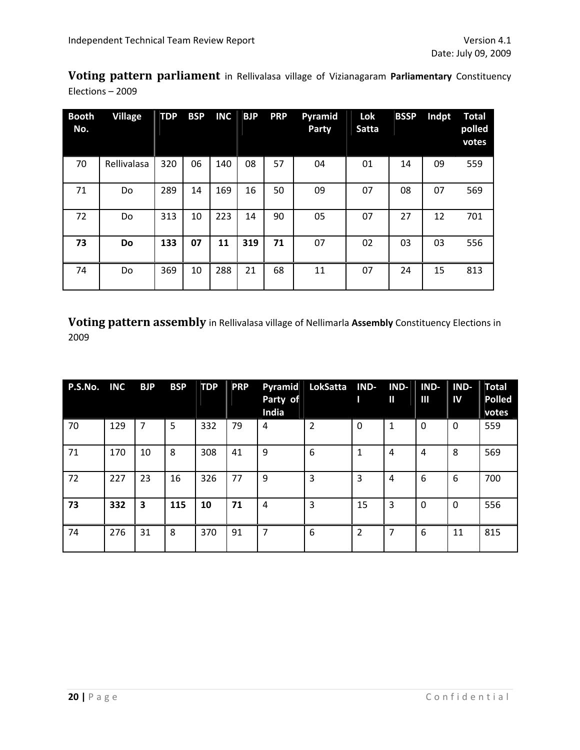**Voting pattern parliament** in Rellivalasa village of Vizianagaram **Parliamentary** Constituency Elections – 2009

| <b>Booth</b><br>No. | <b>Village</b> | <b>TDP</b> | <b>BSP</b> | <b>INC</b> | <b>BJP</b> | <b>PRP</b> | Pyramid<br>Party | Lok<br><b>Satta</b> | <b>BSSP</b> | Indpt | <b>Total</b><br>polled |
|---------------------|----------------|------------|------------|------------|------------|------------|------------------|---------------------|-------------|-------|------------------------|
|                     |                |            |            |            |            |            |                  |                     |             |       | votes                  |
| 70                  | Rellivalasa    | 320        | 06         | 140        | 08         | 57         | 04               | 01                  | 14          | 09    | 559                    |
| 71                  | Do             | 289        | 14         | 169        | 16         | 50         | 09               | 07                  | 08          | 07    | 569                    |
| 72                  | Do             | 313        | 10         | 223        | 14         | 90         | 05               | 07                  | 27          | 12    | 701                    |
| 73                  | <b>Do</b>      | 133        | 07         | 11         | 319        | 71         | 07               | 02                  | 03          | 03    | 556                    |
| 74                  | Do             | 369        | 10         | 288        | 21         | 68         | 11               | 07                  | 24          | 15    | 813                    |

**Voting pattern assembly** in Rellivalasa village of Nellimarla **Assembly** Constituency Elections in 2009

| P.S.No. | <b>INC</b> | <b>BJP</b> | <b>BSP</b> | <b>TDP</b> | <b>PRP</b> | Pyramid<br>Party of<br>India | LokSatta       | IND-<br>Π | IND-<br>Ш | IND-<br>Ш | IND-<br>IV. | <b>Total</b><br><b>Polled</b><br>votes |
|---------|------------|------------|------------|------------|------------|------------------------------|----------------|-----------|-----------|-----------|-------------|----------------------------------------|
| 70      | 129        | 7          | 5          | 332        | 79         | 4                            | $\overline{2}$ | $\Omega$  | 1         | $\Omega$  | 0           | 559                                    |
| 71      | 170        | 10         | 8          | 308        | 41         | 9                            | 6              | 1         | 4         | 4         | 8           | 569                                    |
| 72      | 227        | 23         | 16         | 326        | 77         | 9                            | 3              | 3         | 4         | 6         | 6           | 700                                    |
| 73      | 332        | 3          | 115        | 10         | 71         | $\overline{4}$               | 3              | 15        | 3         | $\Omega$  | $\Omega$    | 556                                    |
| 74      | 276        | 31         | 8          | 370        | 91         | 7                            | 6              | 2         | 7         | 6         | 11          | 815                                    |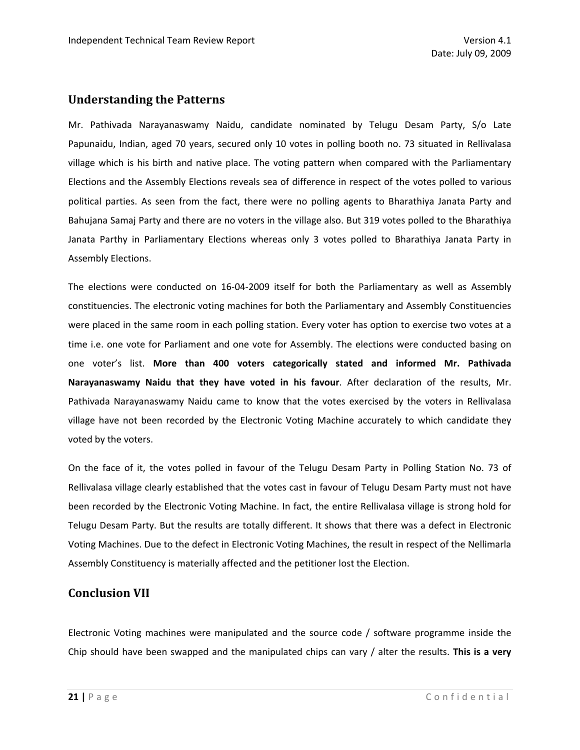## **Understanding the Patterns**

Mr. Pathivada Narayanaswamy Naidu, candidate nominated by Telugu Desam Party, S/o Late Papunaidu, Indian, aged 70 years, secured only 10 votes in polling booth no. 73 situated in Rellivalasa village which is his birth and native place. The voting pattern when compared with the Parliamentary Elections and the Assembly Elections reveals sea of difference in respect of the votes polled to various political parties. As seen from the fact, there were no polling agents to Bharathiya Janata Party and Bahujana Samaj Party and there are no voters in the village also. But 319 votes polled to the Bharathiya Janata Parthy in Parliamentary Elections whereas only 3 votes polled to Bharathiya Janata Party in Assembly Elections.

The elections were conducted on 16‐04‐2009 itself for both the Parliamentary as well as Assembly constituencies. The electronic voting machines for both the Parliamentary and Assembly Constituencies were placed in the same room in each polling station. Every voter has option to exercise two votes at a time i.e. one vote for Parliament and one vote for Assembly. The elections were conducted basing on one voter's list. **More than 400 voters categorically stated and informed Mr. Pathivada Narayanaswamy Naidu that they have voted in his favour**. After declaration of the results, Mr. Pathivada Narayanaswamy Naidu came to know that the votes exercised by the voters in Rellivalasa village have not been recorded by the Electronic Voting Machine accurately to which candidate they voted by the voters.

On the face of it, the votes polled in favour of the Telugu Desam Party in Polling Station No. 73 of Rellivalasa village clearly established that the votes cast in favour of Telugu Desam Party must not have been recorded by the Electronic Voting Machine. In fact, the entire Rellivalasa village is strong hold for Telugu Desam Party. But the results are totally different. It shows that there was a defect in Electronic Voting Machines. Due to the defect in Electronic Voting Machines, the result in respect of the Nellimarla Assembly Constituency is materially affected and the petitioner lost the Election.

## **Conclusion VII**

Electronic Voting machines were manipulated and the source code / software programme inside the Chip should have been swapped and the manipulated chips can vary / alter the results. **This is a very**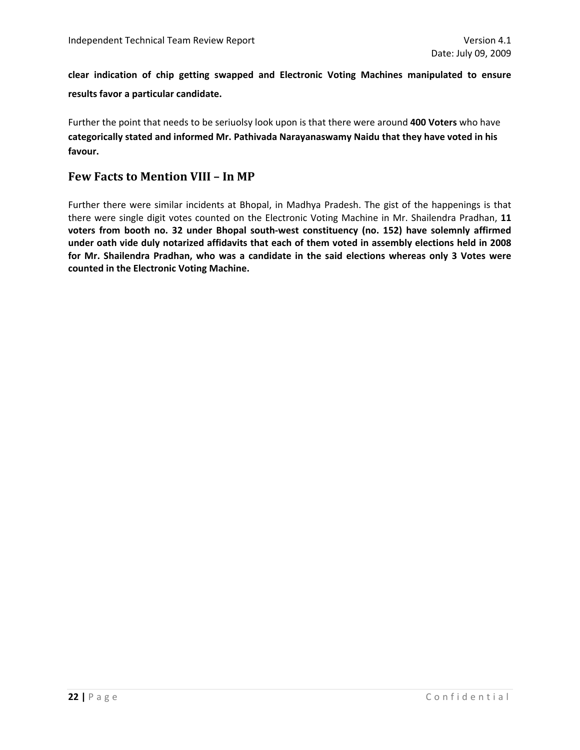**clear indication of chip getting swapped and Electronic Voting Machines manipulated to ensure results favor a particular candidate.**

Further the point that needs to be seriuolsy look upon is that there were around **400 Voters** who have **categorically stated and informed Mr. Pathivada Narayanaswamy Naidu that they have voted in his favour.**

## **Few Facts to Mention VIII – In MP**

Further there were similar incidents at Bhopal, in Madhya Pradesh. The gist of the happenings is that there were single digit votes counted on the Electronic Voting Machine in Mr. Shailendra Pradhan, **11 voters from booth no. 32 under Bhopal south‐west constituency (no. 152) have solemnly affirmed under oath vide duly notarized affidavits that each of them voted in assembly elections held in 2008 for Mr. Shailendra Pradhan, who was a candidate in the said elections whereas only 3 Votes were counted in the Electronic Voting Machine.**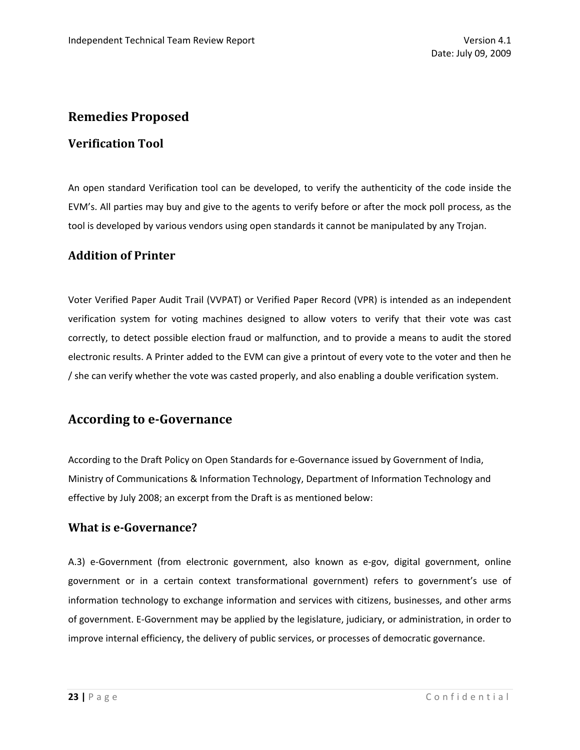# **Remedies Proposed**

## **Verification Tool**

An open standard Verification tool can be developed, to verify the authenticity of the code inside the EVM's. All parties may buy and give to the agents to verify before or after the mock poll process, as the tool is developed by various vendors using open standards it cannot be manipulated by any Trojan.

## **Addition of Printer**

Voter Verified Paper Audit Trail (VVPAT) or Verified Paper Record (VPR) is intended as an independent verification system for voting machines designed to allow voters to verify that their vote was cast correctly, to detect possible election fraud or malfunction, and to provide a means to audit the stored electronic results. A Printer added to the EVM can give a printout of every vote to the voter and then he / she can verify whether the vote was casted properly, and also enabling a double verification system.

# **According to eGovernance**

According to the Draft Policy on Open Standards for e‐Governance issued by Government of India, Ministry of Communications & Information Technology, Department of Information Technology and effective by July 2008; an excerpt from the Draft is as mentioned below:

# **What is eGovernance?**

A.3) e-Government (from electronic government, also known as e-gov, digital government, online government or in a certain context transformational government) refers to government's use of information technology to exchange information and services with citizens, businesses, and other arms of government. E‐Government may be applied by the legislature, judiciary, or administration, in order to improve internal efficiency, the delivery of public services, or processes of democratic governance.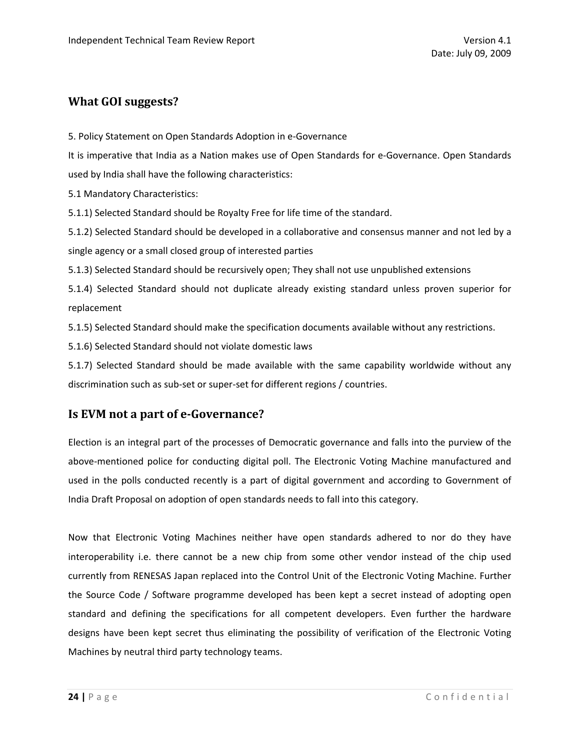## **What GOI suggests?**

5. Policy Statement on Open Standards Adoption in e‐Governance

It is imperative that India as a Nation makes use of Open Standards for e‐Governance. Open Standards used by India shall have the following characteristics:

5.1 Mandatory Characteristics:

5.1.1) Selected Standard should be Royalty Free for life time of the standard.

5.1.2) Selected Standard should be developed in a collaborative and consensus manner and not led by a single agency or a small closed group of interested parties

5.1.3) Selected Standard should be recursively open; They shall not use unpublished extensions

5.1.4) Selected Standard should not duplicate already existing standard unless proven superior for replacement

5.1.5) Selected Standard should make the specification documents available without any restrictions.

5.1.6) Selected Standard should not violate domestic laws

5.1.7) Selected Standard should be made available with the same capability worldwide without any discrimination such as sub‐set or super‐set for different regions / countries.

## **Is EVM not a part of eGovernance?**

Election is an integral part of the processes of Democratic governance and falls into the purview of the above-mentioned police for conducting digital poll. The Electronic Voting Machine manufactured and used in the polls conducted recently is a part of digital government and according to Government of India Draft Proposal on adoption of open standards needs to fall into this category.

Now that Electronic Voting Machines neither have open standards adhered to nor do they have interoperability i.e. there cannot be a new chip from some other vendor instead of the chip used currently from RENESAS Japan replaced into the Control Unit of the Electronic Voting Machine. Further the Source Code / Software programme developed has been kept a secret instead of adopting open standard and defining the specifications for all competent developers. Even further the hardware designs have been kept secret thus eliminating the possibility of verification of the Electronic Voting Machines by neutral third party technology teams.